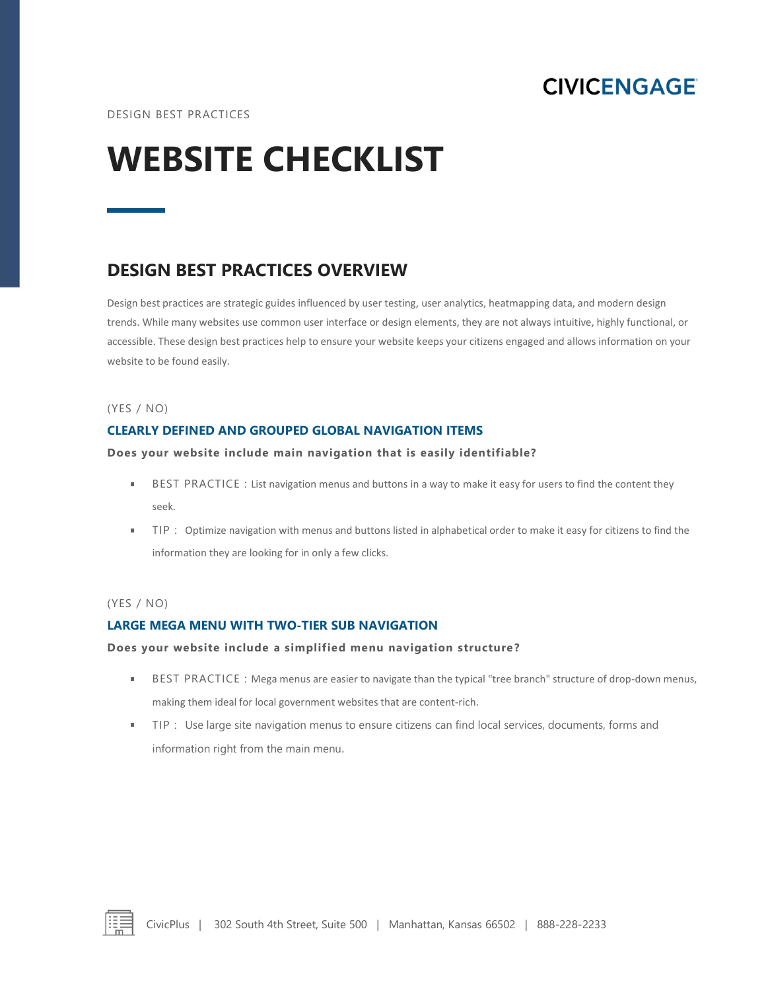**CIVICENGAGE** 

# **WEBSITE CHECKLIST**

# **DESIGN BEST PRACTICES OVERVIEW**

Design best practices are strategic guides influenced by user testing, user analytics, heatmapping data, and modern design trends. While many websites use common user interface or design elements, they are not always intuitive, highly functional, or accessible. These design best practices help to ensure your website keeps your citizens engaged and allows information on your website to be found easily.

# (YES / NO)

# **CLEARLY DEFINED AND GROUPED GLOBAL NAVIGATION ITEMS**

# **Does your website include main navigation that is easily identifiable?**

- BEST PRACTICE : List navigation menus and buttons in a way to make it easy for users to find the content they  $\blacksquare$ seek.
- TIP : Optimize navigation with menus and buttons listed in alphabetical order to make it easy for citizens to find the  $\blacksquare$ information they are looking for in only a few clicks.

# (YES / NO)

# **LARGE MEGA MENU WITH TWO-TIER SUB NAVIGATION**

#### **Does your website include a simplified menu navigation structure ?**

- $\mathbf{r}$ BEST PRACTICE : Mega menus are easier to navigate than the typical "tree branch" structure of drop-down menus, making them ideal for local government websites that are content-rich.
- $\blacksquare$ TIP : Use large site navigation menus to ensure citizens can find local services, documents, forms and information right from the main menu.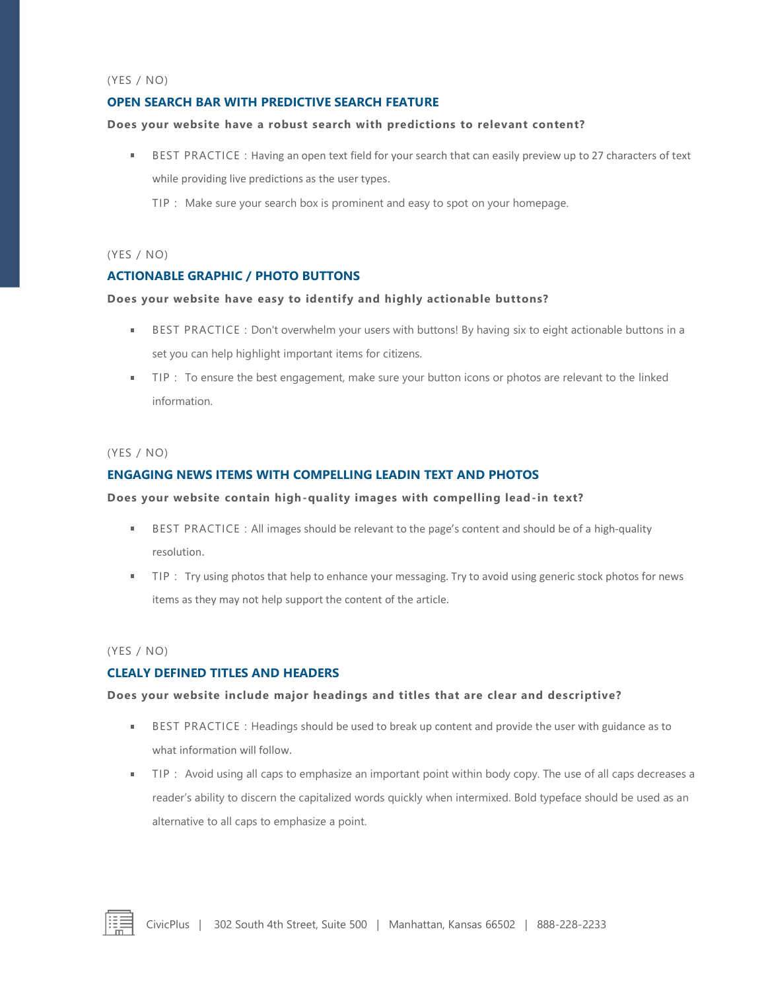#### (YES / NO)

# **OPEN SEARCH BAR WITH PREDICTIVE SEARCH FEATURE**

#### **Does your website have a robust search with predictions to relevant content?**

- BEST PRACTICE : Having an open text field for your search that can easily preview up to 27 characters of text while providing live predictions as the user types.
	- TIP : Make sure your search box is prominent and easy to spot on your homepage.

# (YES / NO)

# **ACTIONABLE GRAPHIC / PHOTO BUTTONS**

#### **Does your website have easy to identify and highly actionable buttons?**

- BEST PRACTICE : Don't overwhelm your users with buttons! By having six to eight actionable buttons in a set you can help highlight important items for citizens.
- " TIP : To ensure the best engagement, make sure your button icons or photos are relevant to the linked information.

#### (YES / NO)

# **ENGAGING NEWS ITEMS WITH COMPELLING LEADIN TEXT AND PHOTOS**

#### **Does your website contain high-quality images with compelling lead-in text?**

- BEST PRACTICE : All images should be relevant to the page's content and should be of a high-quality resolution.
- TIP : Try using photos that help to enhance your messaging. Try to avoid using generic stock photos for news ×. items as they may not help support the content of the article.

# (YES / NO)

# **CLEALY DEFINED TITLES AND HEADERS**

# **Does your website include major headings and titles that are clear and descriptive?**

- BEST PRACTICE : Headings should be used to break up content and provide the user with guidance as to what information will follow.
- TIP : Avoid using all caps to emphasize an important point within body copy. The use of all caps decreases a reader's ability to discern the capitalized words quickly when intermixed. Bold typeface should be used as an alternative to all caps to emphasize a point.